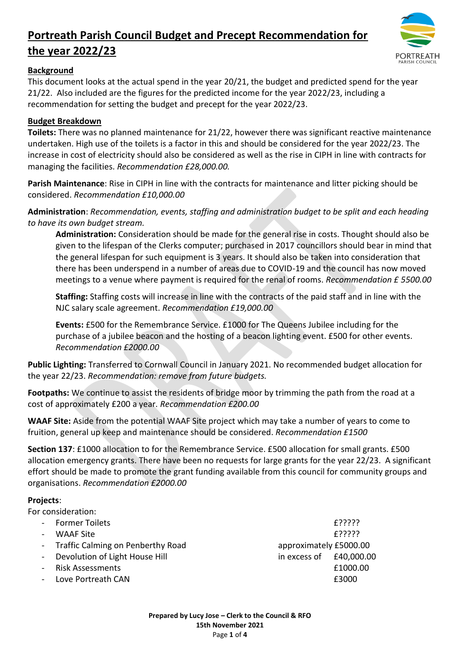

#### **Background**

This document looks at the actual spend in the year 20/21, the budget and predicted spend for the year 21/22. Also included are the figures for the predicted income for the year 2022/23, including a recommendation for setting the budget and precept for the year 2022/23.

## **Budget Breakdown**

**Toilets:** There was no planned maintenance for 21/22, however there was significant reactive maintenance undertaken. High use of the toilets is a factor in this and should be considered for the year 2022/23. The increase in cost of electricity should also be considered as well as the rise in CIPH in line with contracts for managing the facilities. *Recommendation £28,000.00.*

**Parish Maintenance**: Rise in CIPH in line with the contracts for maintenance and litter picking should be considered. *Recommendation £10,000.00*

**Administration**: *Recommendation, events, staffing and administration budget to be split and each heading to have its own budget stream.*

**Administration:** Consideration should be made for the general rise in costs. Thought should also be given to the lifespan of the Clerks computer; purchased in 2017 councillors should bear in mind that the general lifespan for such equipment is 3 years. It should also be taken into consideration that there has been underspend in a number of areas due to COVID-19 and the council has now moved meetings to a venue where payment is required for the renal of rooms. *Recommendation £ 5500.00*

**Staffing:** Staffing costs will increase in line with the contracts of the paid staff and in line with the NJC salary scale agreement. *Recommendation £19,000.00* 

**Events:** £500 for the Remembrance Service. £1000 for The Queens Jubilee including for the purchase of a jubilee beacon and the hosting of a beacon lighting event. £500 for other events. *Recommendation £2000.00*

**Public Lighting:** Transferred to Cornwall Council in January 2021. No recommended budget allocation for the year 22/23. *Recommendation: remove from future budgets.* 

**Footpaths:** We continue to assist the residents of bridge moor by trimming the path from the road at a cost of approximately £200 a year. *Recommendation £200.00*

**WAAF Site:** Aside from the potential WAAF Site project which may take a number of years to come to fruition, general up keep and maintenance should be considered. *Recommendation £1500*

**Section 137**: £1000 allocation to for the Remembrance Service. £500 allocation for small grants. £500 allocation emergency grants. There have been no requests for large grants for the year 22/23. A significant effort should be made to promote the grant funding available from this council for community groups and organisations. *Recommendation £2000.00* 

#### **Projects**:

For consideration: Former Toilets **Example 1998 2008 2008 2008 2008 2009 2008 2009 2009 2009 2009 2009 2009 2009** WAAF Site  $E$ ????? - Traffic Calming on Penberthy Road approximately £5000.00 Devolution of Light House Hill in excess of £40,000.00 Risk Assessments **E1000.00** - Love Portreath CAN £3000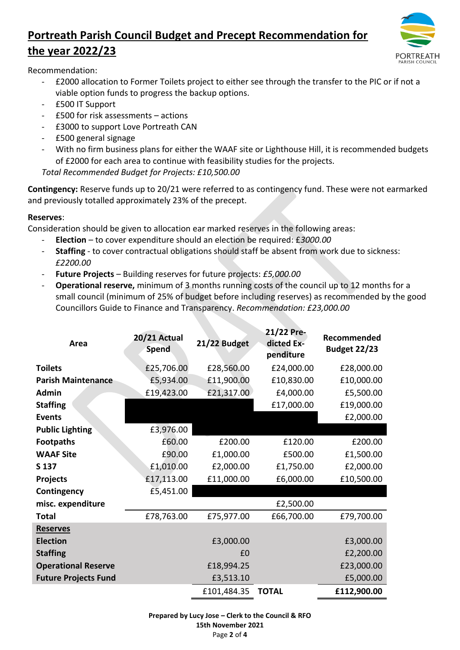

Recommendation:

- £2000 allocation to Former Toilets project to either see through the transfer to the PIC or if not a viable option funds to progress the backup options.
- £500 IT Support
- £500 for risk assessments actions
- £3000 to support Love Portreath CAN
- £500 general signage
- With no firm business plans for either the WAAF site or Lighthouse Hill, it is recommended budgets of £2000 for each area to continue with feasibility studies for the projects.

*Total Recommended Budget for Projects: £10,500.00*

**Contingency:** Reserve funds up to 20/21 were referred to as contingency fund. These were not earmarked and previously totalled approximately 23% of the precept.

#### **Reserves**:

Consideration should be given to allocation ear marked reserves in the following areas:

- **Election** to cover expenditure should an election be required: £*3000.00*
- Staffing to cover contractual obligations should staff be absent from work due to sickness: *£2200.00*
- **Future Projects** Building reserves for future projects: *£5,000.00*
- **Operational reserve,** minimum of 3 months running costs of the council up to 12 months for a small council (minimum of 25% of budget before including reserves) as recommended by the good Councillors Guide to Finance and Transparency. *Recommendation: £23,000.00*

| Area                        | <b>20/21 Actual</b><br><b>Spend</b> | 21/22 Budget | 21/22 Pre-<br>dicted Ex-<br>penditure | Recommended<br><b>Budget 22/23</b> |
|-----------------------------|-------------------------------------|--------------|---------------------------------------|------------------------------------|
| <b>Toilets</b>              | £25,706.00                          | £28,560.00   | £24,000.00                            | £28,000.00                         |
| <b>Parish Maintenance</b>   | £5,934.00                           | £11,900.00   | £10,830.00                            | £10,000.00                         |
| <b>Admin</b>                | £19,423.00                          | £21,317.00   | £4,000.00                             | £5,500.00                          |
| <b>Staffing</b>             |                                     |              | £17,000.00                            | £19,000.00                         |
| <b>Events</b>               |                                     |              |                                       | £2,000.00                          |
| <b>Public Lighting</b>      | £3,976.00                           |              |                                       |                                    |
| <b>Footpaths</b>            | £60.00                              | £200.00      | £120.00                               | £200.00                            |
| <b>WAAF Site</b>            | £90.00                              | £1,000.00    | £500.00                               | £1,500.00                          |
| S 137                       | £1,010.00                           | £2,000.00    | £1,750.00                             | £2,000.00                          |
| <b>Projects</b>             | £17,113.00                          | £11,000.00   | £6,000.00                             | £10,500.00                         |
| Contingency                 | £5,451.00                           |              |                                       |                                    |
| misc. expenditure           |                                     |              | £2,500.00                             |                                    |
| Total                       | £78,763.00                          | £75,977.00   | £66,700.00                            | £79,700.00                         |
| <b>Reserves</b>             |                                     |              |                                       |                                    |
| <b>Election</b>             |                                     | £3,000.00    |                                       | £3,000.00                          |
| <b>Staffing</b>             |                                     | £0           |                                       | £2,200.00                          |
| <b>Operational Reserve</b>  |                                     | £18,994.25   |                                       | £23,000.00                         |
| <b>Future Projects Fund</b> |                                     | £3,513.10    |                                       | £5,000.00                          |
|                             |                                     | £101,484.35  | <b>TOTAL</b>                          | £112,900.00                        |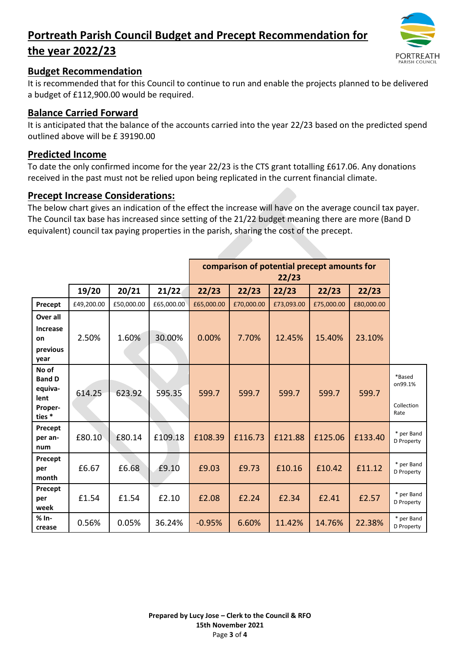

## **Budget Recommendation**

It is recommended that for this Council to continue to run and enable the projects planned to be delivered a budget of £112,900.00 would be required.

## **Balance Carried Forward**

It is anticipated that the balance of the accounts carried into the year 22/23 based on the predicted spend outlined above will be £ 39190.00

## **Predicted Income**

To date the only confirmed income for the year 22/23 is the CTS grant totalling £617.06. Any donations received in the past must not be relied upon being replicated in the current financial climate.

#### **Precept Increase Considerations:**

The below chart gives an indication of the effect the increase will have on the average council tax payer. The Council tax base has increased since setting of the 21/22 budget meaning there are more (Band D equivalent) council tax paying properties in the parish, sharing the cost of the precept.

|                                                                |            |            |            | comparison of potential precept amounts for<br>22/23 |            |            |            |            |                                         |
|----------------------------------------------------------------|------------|------------|------------|------------------------------------------------------|------------|------------|------------|------------|-----------------------------------------|
|                                                                | 19/20      | 20/21      | 21/22      | 22/23                                                | 22/23      | 22/23      | 22/23      | 22/23      |                                         |
| Precept                                                        | £49,200.00 | £50,000.00 | £65,000.00 | £65,000.00                                           | £70,000.00 | £73,093.00 | £75,000.00 | £80,000.00 |                                         |
| Over all<br><b>Increase</b><br>on<br>previous<br>year          | 2.50%      | 1.60%      | 30.00%     | 0.00%                                                | 7.70%      | 12.45%     | 15.40%     | 23.10%     |                                         |
| No of<br><b>Band D</b><br>equiva-<br>lent<br>Proper-<br>ties * | 614.25     | 623.92     | 595.35     | 599.7                                                | 599.7      | 599.7      | 599.7      | 599.7      | *Based<br>on99.1%<br>Collection<br>Rate |
| Precept<br>per an-<br>num                                      | £80.10     | £80.14     | £109.18    | £108.39                                              | £116.73    | £121.88    | £125.06    | £133.40    | * per Band<br>D Property                |
| Precept<br>per<br>month                                        | £6.67      | £6.68      | £9.10      | £9.03                                                | £9.73      | £10.16     | £10.42     | £11.12     | * per Band<br>D Property                |
| Precept<br>per<br>week                                         | £1.54      | £1.54      | £2.10      | £2.08                                                | £2.24      | £2.34      | £2.41      | £2.57      | * per Band<br>D Property                |
| $% In-$<br>crease                                              | 0.56%      | 0.05%      | 36.24%     | $-0.95%$                                             | 6.60%      | 11.42%     | 14.76%     | 22.38%     | * per Band<br>D Property                |